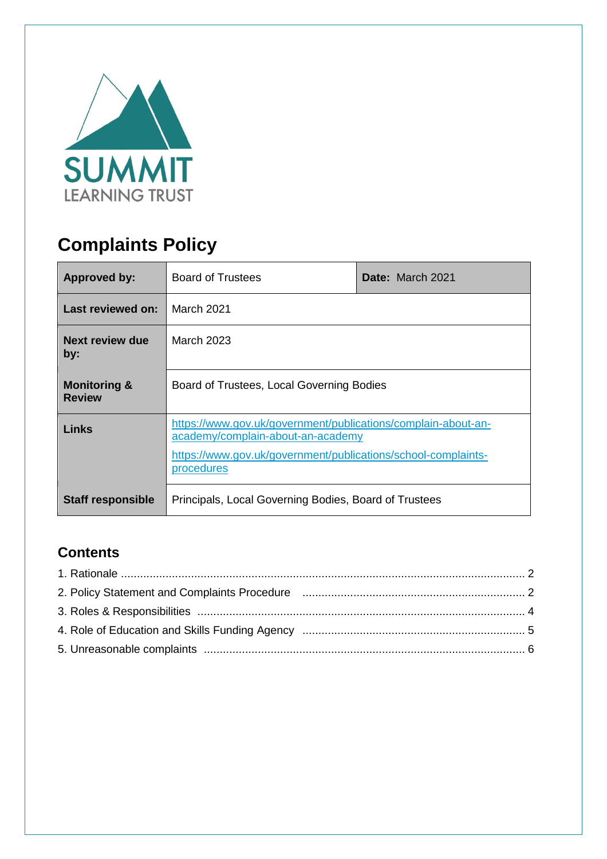

# **Complaints Policy**

| <b>Approved by:</b>                      | <b>Board of Trustees</b>                                                                                                                                                          | Date: March 2021 |  |
|------------------------------------------|-----------------------------------------------------------------------------------------------------------------------------------------------------------------------------------|------------------|--|
| Last reviewed on:                        | March 2021                                                                                                                                                                        |                  |  |
| Next review due<br>by:                   | March 2023                                                                                                                                                                        |                  |  |
| <b>Monitoring &amp;</b><br><b>Review</b> | Board of Trustees, Local Governing Bodies                                                                                                                                         |                  |  |
| Links                                    | https://www.gov.uk/government/publications/complain-about-an-<br>academy/complain-about-an-academy<br>https://www.gov.uk/government/publications/school-complaints-<br>procedures |                  |  |
| <b>Staff responsible</b>                 | Principals, Local Governing Bodies, Board of Trustees                                                                                                                             |                  |  |

# **Contents**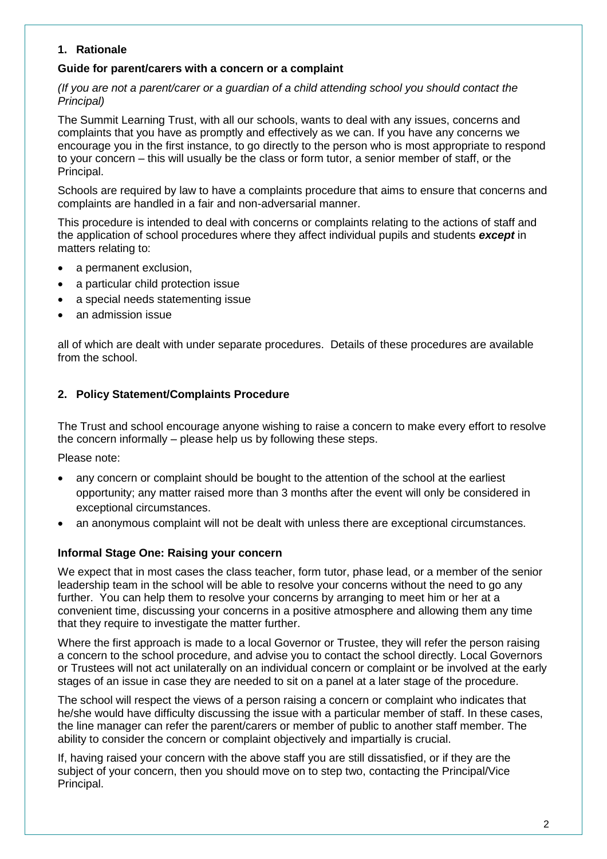#### **1. Rationale**

#### **Guide for parent/carers with a concern or a complaint**

*(If you are not a parent/carer or a guardian of a child attending school you should contact the Principal)*

The Summit Learning Trust, with all our schools, wants to deal with any issues, concerns and complaints that you have as promptly and effectively as we can. If you have any concerns we encourage you in the first instance, to go directly to the person who is most appropriate to respond to your concern – this will usually be the class or form tutor, a senior member of staff, or the Principal.

Schools are required by law to have a complaints procedure that aims to ensure that concerns and complaints are handled in a fair and non-adversarial manner.

This procedure is intended to deal with concerns or complaints relating to the actions of staff and the application of school procedures where they affect individual pupils and students *except* in matters relating to:

- a permanent exclusion,
- a particular child protection issue
- a special needs statementing issue
- an admission issue

all of which are dealt with under separate procedures. Details of these procedures are available from the school.

#### **2. Policy Statement/Complaints Procedure**

The Trust and school encourage anyone wishing to raise a concern to make every effort to resolve the concern informally – please help us by following these steps.

Please note:

- any concern or complaint should be bought to the attention of the school at the earliest opportunity; any matter raised more than 3 months after the event will only be considered in exceptional circumstances.
- an anonymous complaint will not be dealt with unless there are exceptional circumstances.

#### **Informal Stage One: Raising your concern**

We expect that in most cases the class teacher, form tutor, phase lead, or a member of the senior leadership team in the school will be able to resolve your concerns without the need to go any further. You can help them to resolve your concerns by arranging to meet him or her at a convenient time, discussing your concerns in a positive atmosphere and allowing them any time that they require to investigate the matter further.

Where the first approach is made to a local Governor or Trustee, they will refer the person raising a concern to the school procedure, and advise you to contact the school directly. Local Governors or Trustees will not act unilaterally on an individual concern or complaint or be involved at the early stages of an issue in case they are needed to sit on a panel at a later stage of the procedure.

The school will respect the views of a person raising a concern or complaint who indicates that he/she would have difficulty discussing the issue with a particular member of staff. In these cases, the line manager can refer the parent/carers or member of public to another staff member. The ability to consider the concern or complaint objectively and impartially is crucial.

If, having raised your concern with the above staff you are still dissatisfied, or if they are the subject of your concern, then you should move on to step two, contacting the Principal/Vice Principal.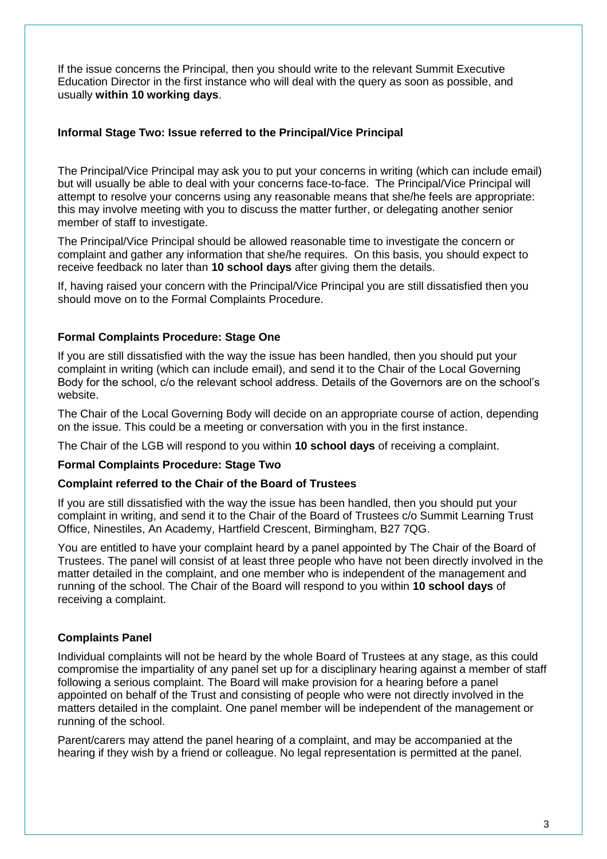If the issue concerns the Principal, then you should write to the relevant Summit Executive Education Director in the first instance who will deal with the query as soon as possible, and usually **within 10 working days**.

#### **Informal Stage Two: Issue referred to the Principal/Vice Principal**

The Principal/Vice Principal may ask you to put your concerns in writing (which can include email) but will usually be able to deal with your concerns face-to-face. The Principal/Vice Principal will attempt to resolve your concerns using any reasonable means that she/he feels are appropriate: this may involve meeting with you to discuss the matter further, or delegating another senior member of staff to investigate.

The Principal/Vice Principal should be allowed reasonable time to investigate the concern or complaint and gather any information that she/he requires. On this basis, you should expect to receive feedback no later than **10 school days** after giving them the details.

If, having raised your concern with the Principal/Vice Principal you are still dissatisfied then you should move on to the Formal Complaints Procedure.

#### **Formal Complaints Procedure: Stage One**

If you are still dissatisfied with the way the issue has been handled, then you should put your complaint in writing (which can include email), and send it to the Chair of the Local Governing Body for the school, c/o the relevant school address. Details of the Governors are on the school's website.

The Chair of the Local Governing Body will decide on an appropriate course of action, depending on the issue. This could be a meeting or conversation with you in the first instance.

The Chair of the LGB will respond to you within **10 school days** of receiving a complaint.

#### **Formal Complaints Procedure: Stage Two**

#### **Complaint referred to the Chair of the Board of Trustees**

If you are still dissatisfied with the way the issue has been handled, then you should put your complaint in writing, and send it to the Chair of the Board of Trustees c/o Summit Learning Trust Office, Ninestiles, An Academy, Hartfield Crescent, Birmingham, B27 7QG.

You are entitled to have your complaint heard by a panel appointed by The Chair of the Board of Trustees. The panel will consist of at least three people who have not been directly involved in the matter detailed in the complaint, and one member who is independent of the management and running of the school. The Chair of the Board will respond to you within **10 school days** of receiving a complaint.

#### **Complaints Panel**

Individual complaints will not be heard by the whole Board of Trustees at any stage, as this could compromise the impartiality of any panel set up for a disciplinary hearing against a member of staff following a serious complaint. The Board will make provision for a hearing before a panel appointed on behalf of the Trust and consisting of people who were not directly involved in the matters detailed in the complaint. One panel member will be independent of the management or running of the school.

Parent/carers may attend the panel hearing of a complaint, and may be accompanied at the hearing if they wish by a friend or colleague. No legal representation is permitted at the panel.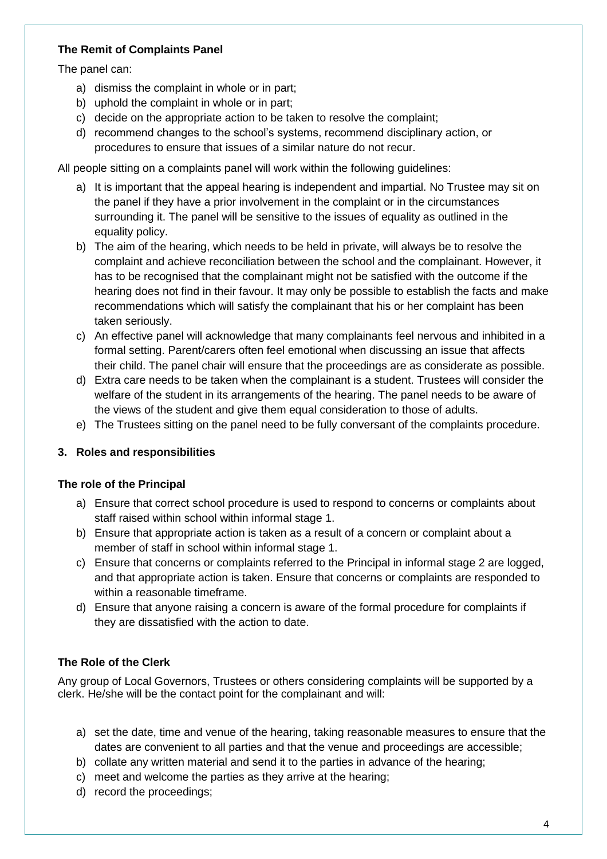# **The Remit of Complaints Panel**

The panel can:

- a) dismiss the complaint in whole or in part;
- b) uphold the complaint in whole or in part;
- c) decide on the appropriate action to be taken to resolve the complaint;
- d) recommend changes to the school's systems, recommend disciplinary action, or procedures to ensure that issues of a similar nature do not recur.

All people sitting on a complaints panel will work within the following guidelines:

- a) It is important that the appeal hearing is independent and impartial. No Trustee may sit on the panel if they have a prior involvement in the complaint or in the circumstances surrounding it. The panel will be sensitive to the issues of equality as outlined in the equality policy.
- b) The aim of the hearing, which needs to be held in private, will always be to resolve the complaint and achieve reconciliation between the school and the complainant. However, it has to be recognised that the complainant might not be satisfied with the outcome if the hearing does not find in their favour. It may only be possible to establish the facts and make recommendations which will satisfy the complainant that his or her complaint has been taken seriously.
- c) An effective panel will acknowledge that many complainants feel nervous and inhibited in a formal setting. Parent/carers often feel emotional when discussing an issue that affects their child. The panel chair will ensure that the proceedings are as considerate as possible.
- d) Extra care needs to be taken when the complainant is a student. Trustees will consider the welfare of the student in its arrangements of the hearing. The panel needs to be aware of the views of the student and give them equal consideration to those of adults.
- e) The Trustees sitting on the panel need to be fully conversant of the complaints procedure.

# **3. Roles and responsibilities**

#### **The role of the Principal**

- a) Ensure that correct school procedure is used to respond to concerns or complaints about staff raised within school within informal stage 1.
- b) Ensure that appropriate action is taken as a result of a concern or complaint about a member of staff in school within informal stage 1.
- c) Ensure that concerns or complaints referred to the Principal in informal stage 2 are logged, and that appropriate action is taken. Ensure that concerns or complaints are responded to within a reasonable timeframe.
- d) Ensure that anyone raising a concern is aware of the formal procedure for complaints if they are dissatisfied with the action to date.

# **The Role of the Clerk**

Any group of Local Governors, Trustees or others considering complaints will be supported by a clerk. He/she will be the contact point for the complainant and will:

- a) set the date, time and venue of the hearing, taking reasonable measures to ensure that the dates are convenient to all parties and that the venue and proceedings are accessible;
- b) collate any written material and send it to the parties in advance of the hearing;
- c) meet and welcome the parties as they arrive at the hearing;
- d) record the proceedings;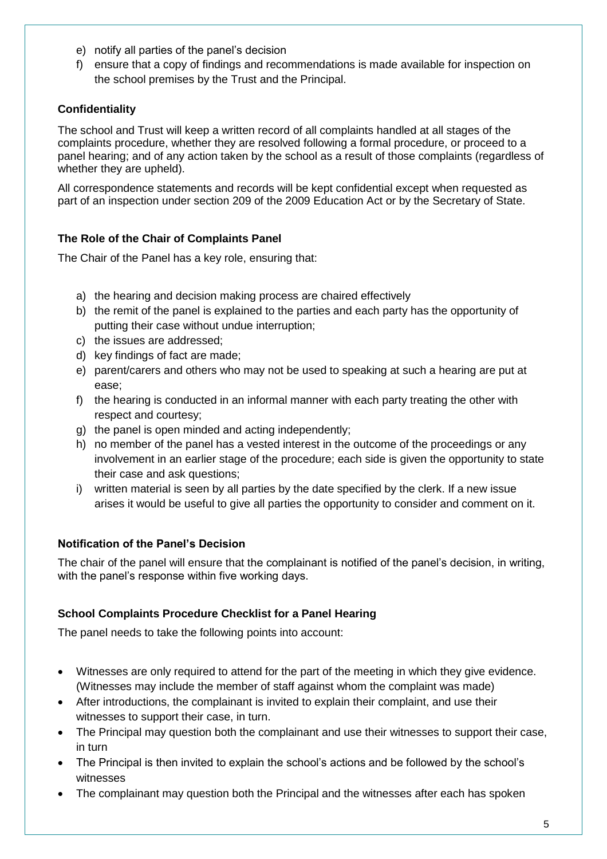- e) notify all parties of the panel's decision
- f) ensure that a copy of findings and recommendations is made available for inspection on the school premises by the Trust and the Principal.

# **Confidentiality**

The school and Trust will keep a written record of all complaints handled at all stages of the complaints procedure, whether they are resolved following a formal procedure, or proceed to a panel hearing; and of any action taken by the school as a result of those complaints (regardless of whether they are upheld).

All correspondence statements and records will be kept confidential except when requested as part of an inspection under section 209 of the 2009 Education Act or by the Secretary of State.

# **The Role of the Chair of Complaints Panel**

The Chair of the Panel has a key role, ensuring that:

- a) the hearing and decision making process are chaired effectively
- b) the remit of the panel is explained to the parties and each party has the opportunity of putting their case without undue interruption;
- c) the issues are addressed;
- d) key findings of fact are made;
- e) parent/carers and others who may not be used to speaking at such a hearing are put at ease;
- f) the hearing is conducted in an informal manner with each party treating the other with respect and courtesy;
- g) the panel is open minded and acting independently;
- h) no member of the panel has a vested interest in the outcome of the proceedings or any involvement in an earlier stage of the procedure; each side is given the opportunity to state their case and ask questions;
- i) written material is seen by all parties by the date specified by the clerk. If a new issue arises it would be useful to give all parties the opportunity to consider and comment on it.

# **Notification of the Panel's Decision**

The chair of the panel will ensure that the complainant is notified of the panel's decision, in writing, with the panel's response within five working days.

# **School Complaints Procedure Checklist for a Panel Hearing**

The panel needs to take the following points into account:

- Witnesses are only required to attend for the part of the meeting in which they give evidence. (Witnesses may include the member of staff against whom the complaint was made)
- After introductions, the complainant is invited to explain their complaint, and use their witnesses to support their case, in turn.
- The Principal may question both the complainant and use their witnesses to support their case, in turn
- The Principal is then invited to explain the school's actions and be followed by the school's witnesses
- The complainant may question both the Principal and the witnesses after each has spoken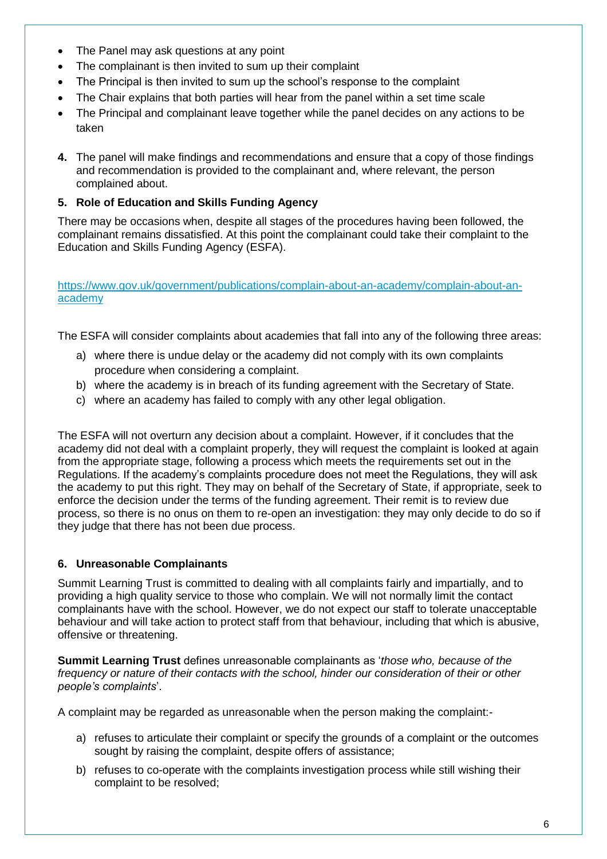- The Panel may ask questions at any point
- The complainant is then invited to sum up their complaint
- The Principal is then invited to sum up the school's response to the complaint
- The Chair explains that both parties will hear from the panel within a set time scale
- The Principal and complainant leave together while the panel decides on any actions to be taken
- **4.** The panel will make findings and recommendations and ensure that a copy of those findings and recommendation is provided to the complainant and, where relevant, the person complained about.

# **5. Role of Education and Skills Funding Agency**

There may be occasions when, despite all stages of the procedures having been followed, the complainant remains dissatisfied. At this point the complainant could take their complaint to the Education and Skills Funding Agency (ESFA).

[https://www.gov.uk/government/publications/complain-about-an-academy/complain-about-an](https://www.gov.uk/government/publications/complain-about-an-academy/complain-about-an-academy)[academy](https://www.gov.uk/government/publications/complain-about-an-academy/complain-about-an-academy)

The ESFA will consider complaints about academies that fall into any of the following three areas:

- a) where there is undue delay or the academy did not comply with its own complaints procedure when considering a complaint.
- b) where the academy is in breach of its funding agreement with the Secretary of State.
- c) where an academy has failed to comply with any other legal obligation.

The ESFA will not overturn any decision about a complaint. However, if it concludes that the academy did not deal with a complaint properly, they will request the complaint is looked at again from the appropriate stage, following a process which meets the requirements set out in the Regulations. If the academy's complaints procedure does not meet the Regulations, they will ask the academy to put this right. They may on behalf of the Secretary of State, if appropriate, seek to enforce the decision under the terms of the funding agreement. Their remit is to review due process, so there is no onus on them to re-open an investigation: they may only decide to do so if they judge that there has not been due process.

# **6. Unreasonable Complainants**

Summit Learning Trust is committed to dealing with all complaints fairly and impartially, and to providing a high quality service to those who complain. We will not normally limit the contact complainants have with the school. However, we do not expect our staff to tolerate unacceptable behaviour and will take action to protect staff from that behaviour, including that which is abusive, offensive or threatening.

**Summit Learning Trust** defines unreasonable complainants as '*those who, because of the frequency or nature of their contacts with the school, hinder our consideration of their or other people's complaints*'.

A complaint may be regarded as unreasonable when the person making the complaint:-

- a) refuses to articulate their complaint or specify the grounds of a complaint or the outcomes sought by raising the complaint, despite offers of assistance;
- b) refuses to co-operate with the complaints investigation process while still wishing their complaint to be resolved;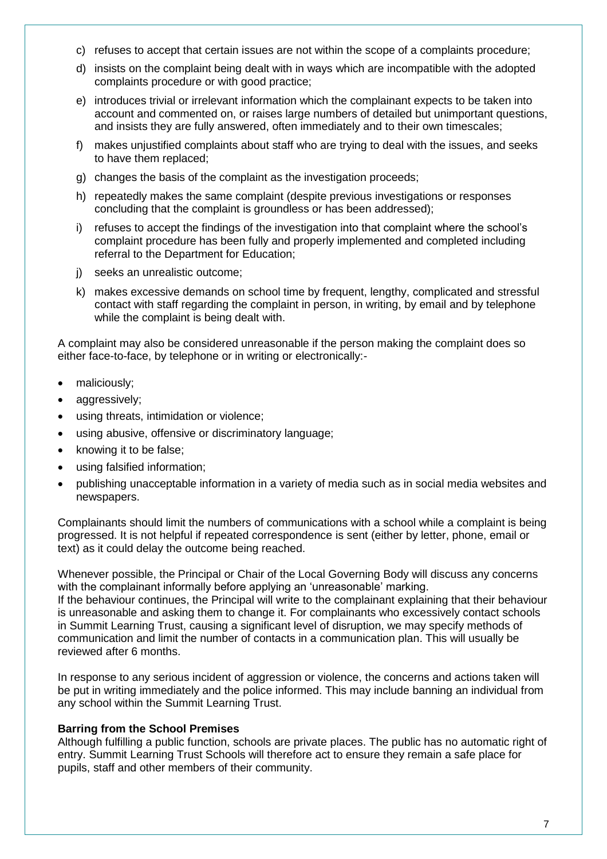- c) refuses to accept that certain issues are not within the scope of a complaints procedure;
- d) insists on the complaint being dealt with in ways which are incompatible with the adopted complaints procedure or with good practice;
- e) introduces trivial or irrelevant information which the complainant expects to be taken into account and commented on, or raises large numbers of detailed but unimportant questions, and insists they are fully answered, often immediately and to their own timescales;
- f) makes unjustified complaints about staff who are trying to deal with the issues, and seeks to have them replaced;
- g) changes the basis of the complaint as the investigation proceeds;
- h) repeatedly makes the same complaint (despite previous investigations or responses concluding that the complaint is groundless or has been addressed);
- i) refuses to accept the findings of the investigation into that complaint where the school's complaint procedure has been fully and properly implemented and completed including referral to the Department for Education;
- j) seeks an unrealistic outcome;
- k) makes excessive demands on school time by frequent, lengthy, complicated and stressful contact with staff regarding the complaint in person, in writing, by email and by telephone while the complaint is being dealt with.

A complaint may also be considered unreasonable if the person making the complaint does so either face-to-face, by telephone or in writing or electronically:-

- maliciously;
- aggressively;
- using threats, intimidation or violence;
- using abusive, offensive or discriminatory language;
- knowing it to be false;
- using falsified information;
- publishing unacceptable information in a variety of media such as in social media websites and newspapers.

Complainants should limit the numbers of communications with a school while a complaint is being progressed. It is not helpful if repeated correspondence is sent (either by letter, phone, email or text) as it could delay the outcome being reached.

Whenever possible, the Principal or Chair of the Local Governing Body will discuss any concerns with the complainant informally before applying an 'unreasonable' marking. If the behaviour continues, the Principal will write to the complainant explaining that their behaviour is unreasonable and asking them to change it. For complainants who excessively contact schools in Summit Learning Trust, causing a significant level of disruption, we may specify methods of communication and limit the number of contacts in a communication plan. This will usually be reviewed after 6 months.

In response to any serious incident of aggression or violence, the concerns and actions taken will be put in writing immediately and the police informed. This may include banning an individual from any school within the Summit Learning Trust.

#### **Barring from the School Premises**

Although fulfilling a public function, schools are private places. The public has no automatic right of entry. Summit Learning Trust Schools will therefore act to ensure they remain a safe place for pupils, staff and other members of their community.